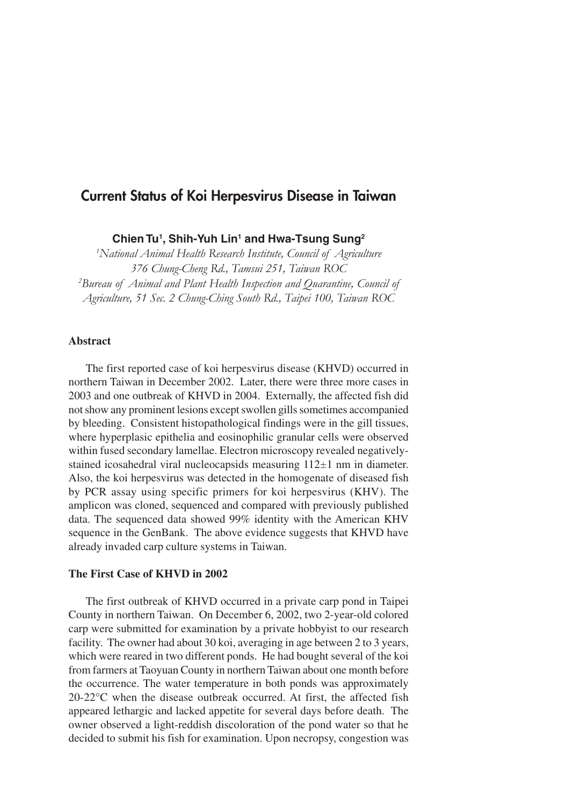# **Current Status of Koi Herpesvirus Disease in Taiwan**

**Chien Tu1 , Shih-Yuh Lin1 and Hwa-Tsung Sung2**

*1 National Animal Health Research Institute, Council of Agriculture 376 Chung-Cheng Rd., Tamsui 251, Taiwan ROC 2 Bureau of Animal and Plant Health Inspection and Quarantine, Council of Agriculture, 51 Sec. 2 Chung-Ching South Rd., Taipei 100, Taiwan ROC*

# **Abstract**

The first reported case of koi herpesvirus disease (KHVD) occurred in northern Taiwan in December 2002. Later, there were three more cases in 2003 and one outbreak of KHVD in 2004. Externally, the affected fish did not show any prominent lesions except swollen gills sometimes accompanied by bleeding. Consistent histopathological findings were in the gill tissues, where hyperplasic epithelia and eosinophilic granular cells were observed within fused secondary lamellae. Electron microscopy revealed negativelystained icosahedral viral nucleocapsids measuring 112±1 nm in diameter. Also, the koi herpesvirus was detected in the homogenate of diseased fish by PCR assay using specific primers for koi herpesvirus (KHV). The amplicon was cloned, sequenced and compared with previously published data. The sequenced data showed 99% identity with the American KHV sequence in the GenBank. The above evidence suggests that KHVD have already invaded carp culture systems in Taiwan.

## **The First Case of KHVD in 2002**

The first outbreak of KHVD occurred in a private carp pond in Taipei County in northern Taiwan. On December 6, 2002, two 2-year-old colored carp were submitted for examination by a private hobbyist to our research facility. The owner had about 30 koi, averaging in age between 2 to 3 years, which were reared in two different ponds. He had bought several of the koi from farmers at Taoyuan County in northern Taiwan about one month before the occurrence. The water temperature in both ponds was approximately 20-22°C when the disease outbreak occurred. At first, the affected fish appeared lethargic and lacked appetite for several days before death. The owner observed a light-reddish discoloration of the pond water so that he decided to submit his fish for examination. Upon necropsy, congestion was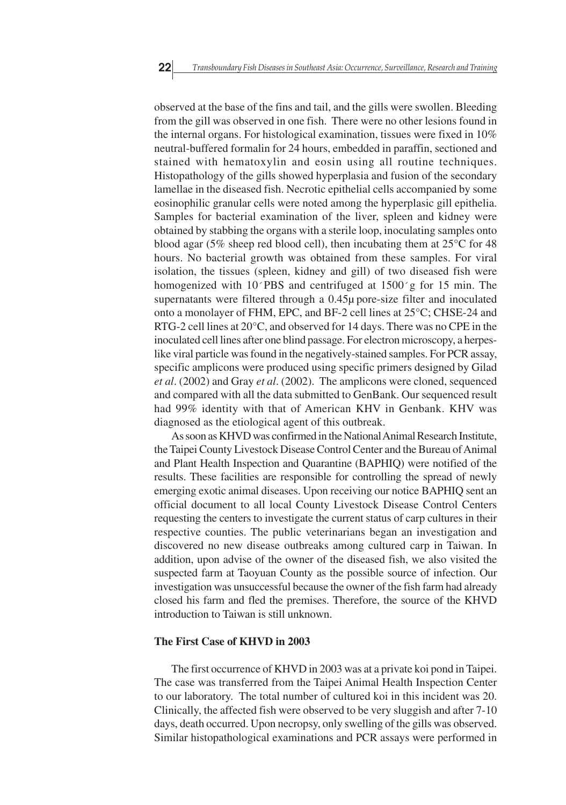observed at the base of the fins and tail, and the gills were swollen. Bleeding from the gill was observed in one fish. There were no other lesions found in the internal organs. For histological examination, tissues were fixed in 10% neutral-buffered formalin for 24 hours, embedded in paraffin, sectioned and stained with hematoxylin and eosin using all routine techniques. Histopathology of the gills showed hyperplasia and fusion of the secondary lamellae in the diseased fish. Necrotic epithelial cells accompanied by some eosinophilic granular cells were noted among the hyperplasic gill epithelia. Samples for bacterial examination of the liver, spleen and kidney were obtained by stabbing the organs with a sterile loop, inoculating samples onto blood agar (5% sheep red blood cell), then incubating them at 25°C for 48 hours. No bacterial growth was obtained from these samples. For viral isolation, the tissues (spleen, kidney and gill) of two diseased fish were homogenized with 10<sup>o</sup>PBS and centrifuged at 1500<sup>o</sup>g for 15 min. The supernatants were filtered through a 0.45µ pore-size filter and inoculated onto a monolayer of FHM, EPC, and BF-2 cell lines at 25°C; CHSE-24 and RTG-2 cell lines at 20°C, and observed for 14 days. There was no CPE in the inoculated cell lines after one blind passage. For electron microscopy, a herpeslike viral particle was found in the negatively-stained samples. For PCR assay, specific amplicons were produced using specific primers designed by Gilad *et al*. (2002) and Gray *et al*. (2002). The amplicons were cloned, sequenced and compared with all the data submitted to GenBank. Our sequenced result had 99% identity with that of American KHV in Genbank. KHV was diagnosed as the etiological agent of this outbreak.

As soon as KHVD was confirmed in the National Animal Research Institute, the Taipei County Livestock Disease Control Center and the Bureau of Animal and Plant Health Inspection and Quarantine (BAPHIQ) were notified of the results. These facilities are responsible for controlling the spread of newly emerging exotic animal diseases. Upon receiving our notice BAPHIQ sent an official document to all local County Livestock Disease Control Centers requesting the centers to investigate the current status of carp cultures in their respective counties. The public veterinarians began an investigation and discovered no new disease outbreaks among cultured carp in Taiwan. In addition, upon advise of the owner of the diseased fish, we also visited the suspected farm at Taoyuan County as the possible source of infection. Our investigation was unsuccessful because the owner of the fish farm had already closed his farm and fled the premises. Therefore, the source of the KHVD introduction to Taiwan is still unknown.

#### **The First Case of KHVD in 2003**

The first occurrence of KHVD in 2003 was at a private koi pond in Taipei. The case was transferred from the Taipei Animal Health Inspection Center to our laboratory. The total number of cultured koi in this incident was 20. Clinically, the affected fish were observed to be very sluggish and after 7-10 days, death occurred. Upon necropsy, only swelling of the gills was observed. Similar histopathological examinations and PCR assays were performed in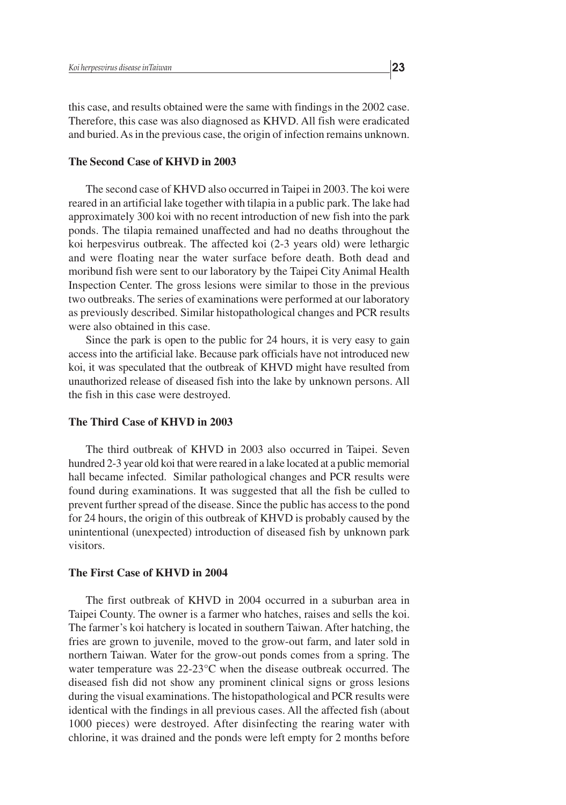this case, and results obtained were the same with findings in the 2002 case. Therefore, this case was also diagnosed as KHVD. All fish were eradicated and buried. As in the previous case, the origin of infection remains unknown.

# **The Second Case of KHVD in 2003**

The second case of KHVD also occurred in Taipei in 2003. The koi were reared in an artificial lake together with tilapia in a public park. The lake had approximately 300 koi with no recent introduction of new fish into the park ponds. The tilapia remained unaffected and had no deaths throughout the koi herpesvirus outbreak. The affected koi (2-3 years old) were lethargic and were floating near the water surface before death. Both dead and moribund fish were sent to our laboratory by the Taipei City Animal Health Inspection Center. The gross lesions were similar to those in the previous two outbreaks. The series of examinations were performed at our laboratory as previously described. Similar histopathological changes and PCR results were also obtained in this case.

Since the park is open to the public for 24 hours, it is very easy to gain access into the artificial lake. Because park officials have not introduced new koi, it was speculated that the outbreak of KHVD might have resulted from unauthorized release of diseased fish into the lake by unknown persons. All the fish in this case were destroyed.

## **The Third Case of KHVD in 2003**

The third outbreak of KHVD in 2003 also occurred in Taipei. Seven hundred 2-3 year old koi that were reared in a lake located at a public memorial hall became infected. Similar pathological changes and PCR results were found during examinations. It was suggested that all the fish be culled to prevent further spread of the disease. Since the public has access to the pond for 24 hours, the origin of this outbreak of KHVD is probably caused by the unintentional (unexpected) introduction of diseased fish by unknown park visitors.

#### **The First Case of KHVD in 2004**

The first outbreak of KHVD in 2004 occurred in a suburban area in Taipei County. The owner is a farmer who hatches, raises and sells the koi. The farmer's koi hatchery is located in southern Taiwan. After hatching, the fries are grown to juvenile, moved to the grow-out farm, and later sold in northern Taiwan. Water for the grow-out ponds comes from a spring. The water temperature was 22-23°C when the disease outbreak occurred. The diseased fish did not show any prominent clinical signs or gross lesions during the visual examinations. The histopathological and PCR results were identical with the findings in all previous cases. All the affected fish (about 1000 pieces) were destroyed. After disinfecting the rearing water with chlorine, it was drained and the ponds were left empty for 2 months before